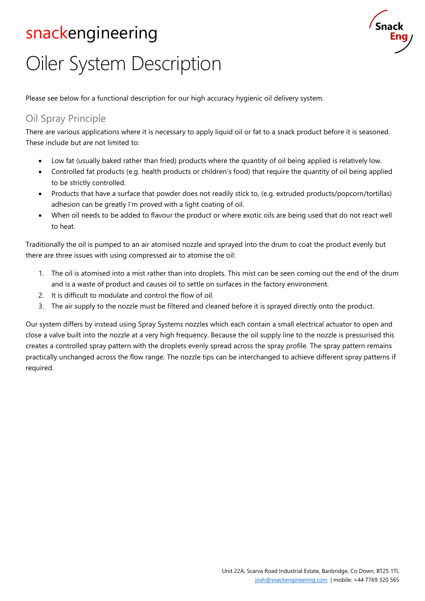

# Oiler System Description

Please see below for a functional description for our high accuracy hygienic oil delivery system.

#### Oil Spray Principle

There are various applications where it is necessary to apply liquid oil or fat to a snack product before it is seasoned. These include but are not limited to:

- Low fat (usually baked rather than fried) products where the quantity of oil being applied is relatively low.
- Controlled fat products (e.g. health products or children's food) that require the quantity of oil being applied to be strictly controlled.
- Products that have a surface that powder does not readily stick to, (e.g. extruded products/popcorn/tortillas) adhesion can be greatly I'm proved with a light coating of oil.
- When oil needs to be added to flavour the product or where exotic oils are being used that do not react well to heat.

Traditionally the oil is pumped to an air atomised nozzle and sprayed into the drum to coat the product evenly but there are three issues with using compressed air to atomise the oil:

- 1. The oil is atomised into a mist rather than into droplets. This mist can be seen coming out the end of the drum and is a waste of product and causes oil to settle on surfaces in the factory environment.
- 2. It is difficult to modulate and control the flow of oil.
- 3. The air supply to the nozzle must be filtered and cleaned before it is sprayed directly onto the product.

Our system differs by instead using Spray Systems nozzles which each contain a small electrical actuator to open and close a valve built into the nozzle at a very high frequency. Because the oil supply line to the nozzle is pressurised this creates a controlled spray pattern with the droplets evenly spread across the spray profile. The spray pattern remains practically unchanged across the flow range. The nozzle tips can be interchanged to achieve different spray patterns if required.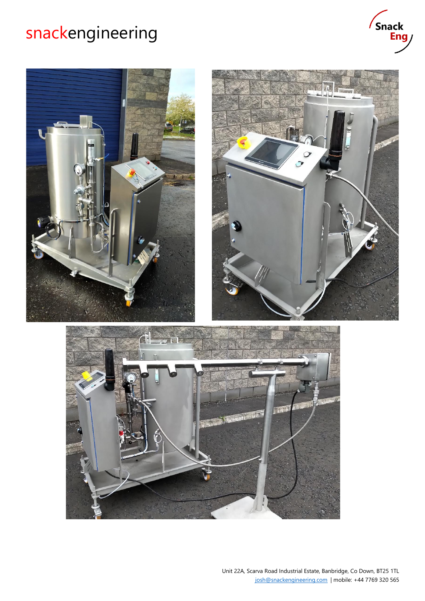





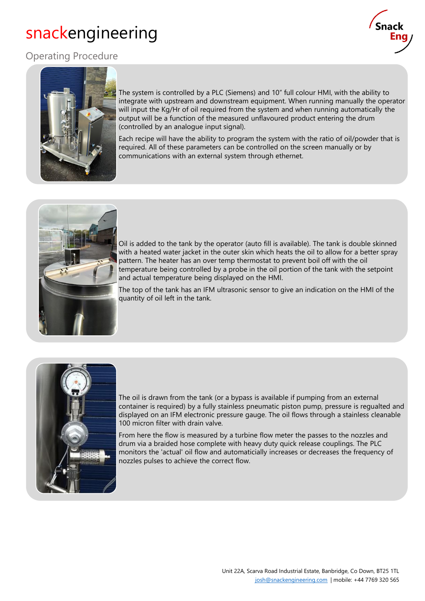Operating Procedure





The system is controlled by a PLC (Siemens) and 10" full colour HMI, with the ability to integrate with upstream and downstream equipment. When running manually the operator will input the Kg/Hr of oil required from the system and when running automatically the output will be a function of the measured unflavoured product entering the drum (controlled by an analogue input signal).

Each recipe will have the ability to program the system with the ratio of oil/powder that is required. All of these parameters can be controlled on the screen manually or by communications with an external system through ethernet.



Oil is added to the tank by the operator (auto fill is available). The tank is double skinned with a heated water jacket in the outer skin which heats the oil to allow for a better spray pattern. The heater has an over temp thermostat to prevent boil off with the oil temperature being controlled by a probe in the oil portion of the tank with the setpoint and actual temperature being displayed on the HMI.

The top of the tank has an IFM ultrasonic sensor to give an indication on the HMI of the quantity of oil left in the tank.



The oil is drawn from the tank (or a bypass is available if pumping from an external container is required) by a fully stainless pneumatic piston pump, pressure is regualted and displayed on an IFM electronic pressure gauge. The oil flows through a stainless cleanable 100 micron filter with drain valve.

From here the flow is measured by a turbine flow meter the passes to the nozzles and drum via a braided hose complete with heavy duty quick release couplings. The PLC monitors the 'actual' oil flow and automaticially increases or decreases the frequency of nozzles pulses to achieve the correct flow.